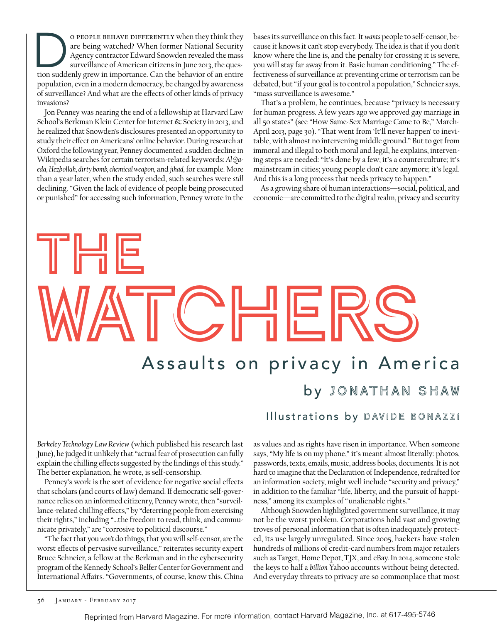O PEOPLE BEHAVE DIFFERENTLY when they think they are being watched? When former National Security Agency contractor Edward Snowden revealed the mass surveillance of American citizens in June 2013, the question suddenly gre are being watched? When former National Security Agency contractor Edward Snowden revealed the mass surveillance of American citizens in June 2013, the quespopulation, even in a modern democracy, be changed by awareness of surveillance? And what are the effects of other kinds of privacy invasions?

Jon Penney was nearing the end of a fellowship at Harvard Law School's Berkman Klein Center for Internet & Society in 2013, and he realized that Snowden's disclosures presented an opportunity to study their effect on Americans' online behavior. During research at Oxford the following year, Penney documented a sudden decline in Wikipedia searches for certain terrorism-related keywords: *Al Qaeda, Hezbollah, dirty bomb, chemical weapon,* and *jihad,* for example. More than a year later, when the study ended, such searches were *still* declining. "Given the lack of evidence of people being prosecuted or punished" for accessing such information, Penney wrote in the bases its surveillance on this fact. It *wants* people to self-censor, because it knows it can't stop everybody. The idea is that if you don't know where the line is, and the penalty for crossing it is severe, you will stay far away from it. Basic human conditioning." The effectiveness of surveillance at preventing crime or terrorism can be debated, but "if your goal is to control a population," Schneier says, "mass surveillance is awesome."

That's a problem, he continues, because "privacy is necessary for human progress. A few years ago we approved gay marriage in all 50 states" (see "How Same-Sex Marriage Came to Be," March-April 2013, page 30). "That went from 'It'll never happen' to inevitable, with almost no intervening middle ground." But to get from immoral and illegal to both moral and legal, he explains, intervening steps are needed: "It's done by a few; it's a counterculture; it's mainstream in cities; young people don't care anymore; it's legal. And this is a long process that needs privacy to happen."

As a growing share of human interactions—social, political, and economic—are committed to the digital realm, privacy and security

# THE WATCHERS Assaults on privacy in America

### by jonathan shaw

Illustrations by Davide Bonazzi

*Berkeley Technology Law Review* (which published his research last June), he judged it unlikely that "actual fear of prosecution can fully explain the chilling effects suggested by the findings of this study." The better explanation, he wrote, is self-censorship.

Penney's work is the sort of evidence for negative social effects that scholars (and courts of law) demand. If democratic self-governance relies on an informed citizenry, Penney wrote, then "surveillance-related chilling effects," by "deterring people from exercising their rights," including "…the freedom to read, think, and communicate privately," are "corrosive to political discourse."

"The fact that you *won't* do things, that you will self-censor, are the worst effects of pervasive surveillance," reiterates security expert Bruce Schneier, a fellow at the Berkman and in the cybersecurity program of the Kennedy School's Belfer Center for Government and International Affairs. "Governments, of course, know this. China

as values and as rights have risen in importance. When someone says, "My life is on my phone," it's meant almost literally: photos, passwords, texts, emails, music, address books, documents. It is not hard to imagine that the Declaration of Independence, redrafted for an information society, might well include "security and privacy," in addition to the familiar "life, liberty, and the pursuit of happiness," among its examples of "unalienable rights."

Although Snowden highlighted government surveillance, it may not be the worst problem. Corporations hold vast and growing troves of personal information that is often inadequately protected, its use largely unregulated. Since 2005, hackers have stolen hundreds of millions of credit-card numbers from major retailers such as Target, Home Depot, TJX, and eBay. In 2014, someone stole the keys to half a *billion* Yahoo accounts without being detected. And everyday threats to privacy are so commonplace that most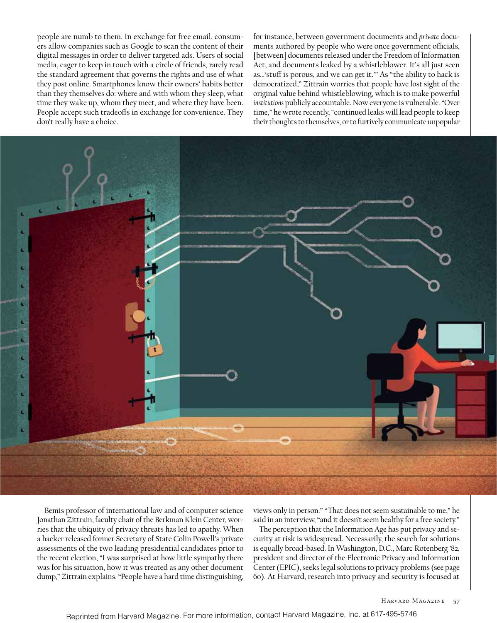people are numb to them. In exchange for free email, consumers allow companies such as Google to scan the content of their digital messages in order to deliver targeted ads. Users of social media, eager to keep in touch with a circle of friends, rarely read the standard agreement that governs the rights and use of what they post online. Smartphones know their owners' habits better than they themselves do: where and with whom they sleep, what time they wake up, whom they meet, and where they have been. People accept such tradeoffs in exchange for convenience. They don't really have a choice.

for instance, between government documents and *private* documents authored by people who were once government officials, [between] documents released under the Freedom of Information Act, and documents leaked by a whistleblower. It's all just seen as…'stuff is porous, and we can get it.'" As "the ability to hack is democratized," Zittrain worries that people have lost sight of the original value behind whistleblowing, which is to make powerful *institutions* publicly accountable. Now everyone is vulnerable. "Over time," he wrote recently, "continued leaks will lead people to keep their thoughts to themselves, or to furtively communicate unpopular



Bemis professor of international law and of computer science Jonathan Zittrain, faculty chair of the Berkman Klein Center, worries that the ubiquity of privacy threats has led to apathy. When a hacker released former Secretary of State Colin Powell's private assessments of the two leading presidential candidates prior to the recent election, "I was surprised at how little sympathy there was for his situation, how it was treated as any other document dump," Zittrain explains. "People have a hard time distinguishing,

views only in person." "That does not seem sustainable to me," he said in an interview, "and it doesn't seem healthy for a free society."

The perception that the Information Age has put privacy and security at risk is widespread. Necessarily, the search for solutions is equally broad-based. In Washington, D.C., Marc Rotenberg '82, president and director of the Electronic Privacy and Information Center (EPIC), seeks legal solutions to privacy problems (see page 60). At Harvard, research into privacy and security is focused at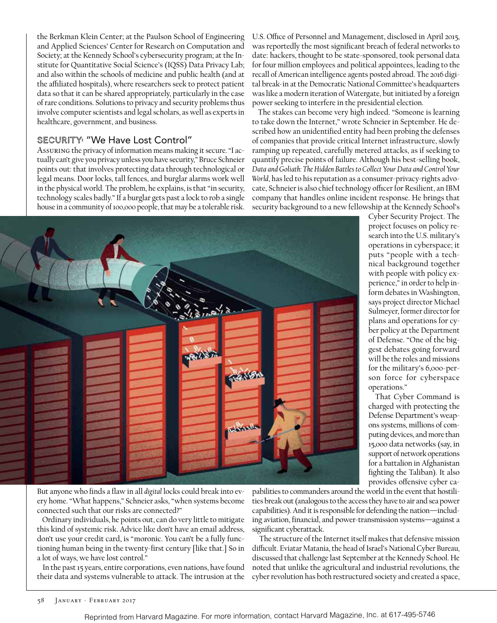the Berkman Klein Center; at the Paulson School of Engineering and Applied Sciences' Center for Research on Computation and Society; at the Kennedy School's cybersecurity program; at the Institute for Quantitative Social Science's (IQSS) Data Privacy Lab; and also within the schools of medicine and public health (and at the affiliated hospitals), where researchers seek to protect patient data so that it can be shared appropriately, particularly in the case of rare conditions. Solutions to privacy and security problems thus involve computer scientists and legal scholars, as well as experts in healthcare, government, and business.

#### SECURITY: "We Have Lost Control"

Assuring the privacy of information means making it secure. "I actually can't give you privacy unless you have security," Bruce Schneier points out: that involves protecting data through technological or legal means. Door locks, tall fences, and burglar alarms work well in the physical world. The problem, he explains, is that "in security, technology scales badly." If a burglar gets past a lock to rob a single house in a community of 100,000 people, that may be a tolerable risk.

U.S. Office of Personnel and Management, disclosed in April 2015, was reportedly the most significant breach of federal networks to date: hackers, thought to be state-sponsored, took personal data for four million employees and political appointees, leading to the recall of American intelligence agents posted abroad. The 2016 digital break-in at the Democratic National Committee's headquarters was like a modern iteration of Watergate, but initiated by a foreign power seeking to interfere in the presidential election.

The stakes can become very high indeed. "Someone is learning to take down the Internet," wrote Schneier in September. He described how an unidentified entity had been probing the defenses of companies that provide critical Internet infrastructure, slowly ramping up repeated, carefully metered attacks, as if seeking to quantify precise points of failure. Although his best-selling book, *Data and Goliath: The Hidden Battles to Collect Your Data and Control Your World*, has led to his reputation as a consumer-privacy-rights advocate, Schneier is also chief technology officer for Resilient, an IBM company that handles online incident response. He brings that security background to a new fellowship at the Kennedy School's



But anyone who finds a flaw in all *digital* locks could break into every home. "What happens," Schneier asks, "when systems become connected such that our risks are connected?"

Ordinary individuals, he points out, can do very little to mitigate this kind of systemic risk. Advice like don't have an email address, don't use your credit card, is "moronic. You can't be a fully functioning human being in the twenty-first century [like that.] So in a lot of ways, we have lost control."

In the past 15 years, entire corporations, even nations, have found their data and systems vulnerable to attack. The intrusion at the pabilities to commanders around the world in the event that hostilities break out (analogous to the access they have to air and sea power capabilities). And it is responsible for defending the nation—including aviation, financial, and power-transmission systems—against a significant cyberattack.

The structure of the Internet itself makes that defensive mission difficult. Eviatar Matania, the head of Israel's National Cyber Bureau, discussed that challenge last September at the Kennedy School. He noted that unlike the agricultural and industrial revolutions, the cyber revolution has both restructured society and created a space,

Cyber Security Project. The project focuses on policy research into the U.S. military's operations in cyberspace; it puts "people with a technical background together with people with policy experience," in order to help inform debates in Washington, says project director Michael Sulmeyer, former director for plans and operations for cyber policy at the Department of Defense. "One of the biggest debates going forward will be the roles and missions for the military's 6,000-person force for cyberspace operations."

That Cyber Command is charged with protecting the Defense Department's weapons systems, millions of computing devices, and more than 15,000 data networks (say, in support of network operations for a battalion in Afghanistan fighting the Taliban). It also provides offensive cyber ca-

Reprinted from Harvard Magazine. For more information, contact Harvard Magazine, Inc. at 617-495-5746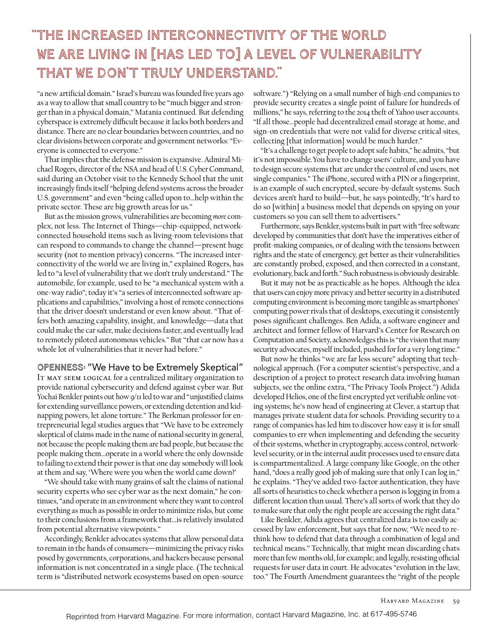## "The increased interconnectivity of the world we are living in [has led to] a level of vulnerability that we don't truly understand."

"a new artificial domain." Israel's bureau was founded five years ago as a way to allow that small country to be "much bigger and stronger than in a physical domain," Matania continued. But defending cyberspace is extremely difficult because it lacks both borders and distance. There are no clear boundaries between countries, and no clear divisions between corporate and government networks: "Everyone is connected to everyone."

That implies that the defense mission is expansive. Admiral Michael Rogers, director of the NSA and head of U.S. Cyber Command, said during an October visit to the Kennedy School that the unit increasingly finds itself "helping defend systems across the broader U.S. government" and even "being called upon to…help within the private sector. These are big growth areas for us."

But as the mission grows, vulnerabilities are becoming *more* complex, not less. The Internet of Things—chip-equipped, networkconnected household items such as living-room televisions that can respond to commands to change the channel—present huge security (not to mention privacy) concerns. "The increased interconnectivity of the world we are living in," explained Rogers, has led to "a level of vulnerability that we don't truly understand." The automobile, for example, used to be "a mechanical system with a one-way radio"; today it's "a series of interconnected software applications and capabilities," involving a host of remote connections that the driver doesn't understand or even know about. "That offers both amazing capability, insight, and knowledge—data that could make the car safer, make decisions faster, and eventually lead to remotely piloted autonomous vehicles." But "that car now has a whole lot of vulnerabilities that it never had before."

#### Openness: "We Have to be Extremely Skeptical"

IT MAY SEEM LOGICAL for a centralized military organization to provide national cybersecurity and defend against cyber war. But Yochai Benkler points out how 9/11 led to war and "unjustified claims for extending surveillance powers, or extending detention and kidnapping powers, let alone torture." The Berkman professor for entrepreneurial legal studies argues that "We have to be extremely skeptical of claims made in the name of national security in general, not because the people making them are bad people, but because the people making them…operate in a world where the only downside to failing to extend their power is that one day somebody will look at them and say, 'Where were you when the world came down?'

"We should take with many grains of salt the claims of national security experts who see cyber war as the next domain," he continues, "and operate in an environment where they want to control everything as much as possible in order to minimize risks, but come to their conclusions from a framework that…is relatively insulated from potential alternative viewpoints."

Accordingly, Benkler advocates systems that allow personal data to remain in the hands of consumers—minimizing the privacy risks posed by governments, corporations, and hackers because personal information is not concentrated in a single place. (The technical term is "distributed network ecosystems based on open-source

software.") "Relying on a small number of high-end companies to provide security creates a single point of failure for hundreds of millions," he says, referring to the 2014 theft of Yahoo user accounts. "If all those…people had decentralized email storage at home, and sign-on credentials that were not valid for diverse critical sites, collecting [that information] would be much harder."

"It's a challenge to get people to adopt safe habits," he admits, "but it's not impossible. You have to change users' culture, and you have to design secure systems that are under the control of end users, not single companies." The iPhone, secured with a PIN or a fingerprint, is an example of such encrypted, secure-by-default systems. Such devices aren't hard to build—but, he says pointedly, "It's hard to do so [within] a business model that depends on spying on your customers so you can sell them to advertisers."

Furthermore, says Benkler, systems built in part with "free software developed by communities that don't have the imperatives either of profit-making companies, or of dealing with the tensions between rights and the state of emergency, get better as their vulnerabilities are constantly probed, exposed, and then corrected in a constant, evolutionary, back and forth." Such robustness is obviously desirable.

But it may not be as practicable as he hopes. Although the idea that users can enjoy more privacy and better security in a distributed computing environment is becoming more tangible as smartphones' computing power rivals that of desktops, executing it consistently poses significant challenges. Ben Adida, a software engineer and architect and former fellow of Harvard's Center for Research on Computation and Society, acknowledges this is "the vision that many security advocates, myself included, pushed for for a very long time."

But now he thinks "we are far less secure" adopting that technological approach. (For a computer scientist's perspective, and a description of a project to protect research data involving human subjects, see the online extra, "The Privacy Tools Project.") Adida developed Helios, one of the first encrypted yet verifiable online voting systems; he's now head of engineering at Clever, a startup that manages private student data for schools. Providing security to a range of companies has led him to discover how easy it is for small companies to err when implementing and defending the security of their systems, whether in cryptography, access control, networklevel security, or in the internal audit processes used to ensure data is compartmentalized. A large company like Google, on the other hand, "does a really good job of making sure that only I can log in," he explains. "They've added two-factor authentication, they have all sorts of heuristics to check whether a person is logging in from a different location than usual. There's all sorts of work that they do to make sure that only the right people are accessing the right data."

Like Benkler, Adida agrees that centralized data is too easily accessed by law enforcement, but says that for now, "We need to rethink how to defend that data through a combination of legal and technical means." Technically, that might mean discarding chats more than few months old, for example; and legally, resisting official requests for user data in court. He advocates "evolution in the law, too." The Fourth Amendment guarantees the "right of the people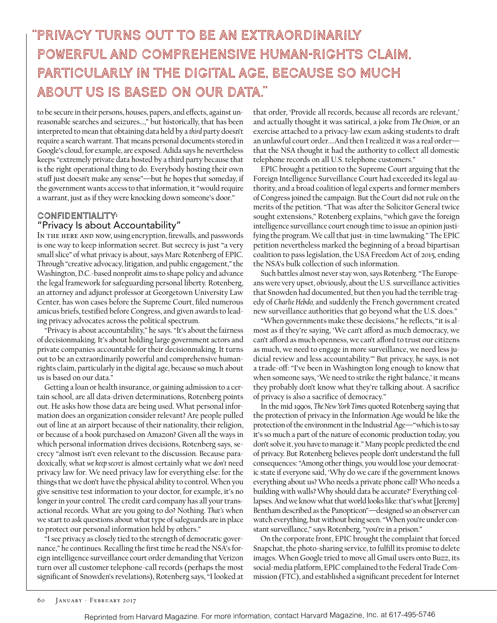## "Privacy turns out to be an extraordinarily powerful and comprehensive human-rights claim, particularly in the digital age, because so much about us is based on our data."

to be secure in their persons, houses, papers, and effects, against unreasonable searches and seizures…," but historically, that has been interpreted to mean that obtaining data held by a *third* party doesn't require a search warrant. That means personal documents stored in Google's cloud, for example, are exposed. Adida says he nevertheless keeps "extremely private data hosted by a third party because that is the right operational thing to do. Everybody hosting their own stuff just doesn't make any sense"—but he hopes that someday, if the government wants access to that information, it "would require a warrant, just as if they were knocking down someone's door."

#### Confidentiality: "Privacy Is about Accountability"

In the here and now, using encryption, firewalls, and passwords is one way to keep information secret. But secrecy is just "a very small slice" of what privacy is about, says Marc Rotenberg of EPIC. Through "creative advocacy, litigation, and public engagement," the Washington, D.C.-based nonprofit aims to shape policy and advance the legal framework for safeguarding personal liberty. Rotenberg, an attorney and adjunct professor at Georgetown University Law Center, has won cases before the Supreme Court, filed numerous amicus briefs, testified before Congress, and given awards to leading privacy advocates across the political spectrum.

"Privacy is about accountability," he says. "It's about the fairness of decisionmaking. It's about holding large government actors and private companies accountable for their decisionmaking. It turns out to be an extraordinarily powerful and comprehensive humanrights claim, particularly in the digital age, because so much about us is based on our data."

Getting a loan or health insurance, or gaining admission to a certain school, are all data-driven determinations, Rotenberg points out. He asks how those data are being used. What personal information does an organization consider relevant? Are people pulled out of line at an airport because of their nationality, their religion, or because of a book purchased on Amazon? Given all the ways in which personal information drives decisions, Rotenberg says, secrecy "almost isn't even relevant to the discussion. Because paradoxically, what *we keep secret* is almost certainly what we *don't* need privacy law for. We need privacy law for everything else: for the things that we don't have the physical ability to control. When you give sensitive test information to your doctor, for example, it's no longer in your control. The credit card company has all your transactional records. What are you going to do? Nothing. *That's* when we start to ask questions about what type of safeguards are in place to protect our personal information held by others."

"I see privacy as closely tied to the strength of democratic governance," he continues. Recalling the first time he read the NSA's foreign intelligence surveillance court order demanding that Verizon turn over all customer telephone-call records (perhaps the most significant of Snowden's revelations), Rotenberg says, "I looked at

that order, 'Provide all records, because all records are relevant,' and actually thought it was satirical, a joke from *The Onion*, or an exercise attached to a privacy-law exam asking students to draft an unlawful court order.…And then I realized it was a real order that the NSA thought it had the authority to collect all domestic telephone records on all U.S. telephone customers."

EPIC brought a petition to the Supreme Court arguing that the Foreign Intelligence Surveillance Court had exceeded its legal authority, and a broad coalition of legal experts and former members of Congress joined the campaign. But the Court did not rule on the merits of the petition. "That was after the Solicitor General twice sought extensions," Rotenberg explains, "which gave the foreign intelligence surveillance court enough time to issue an opinion justifying the program. We call that just-in-time lawmaking." The EPIC petition nevertheless marked the beginning of a broad bipartisan coalition to pass legislation, the USA Freedom Act of 2015, ending the NSA's bulk collection of such information.

Such battles almost never stay won, says Rotenberg. "The Europeans were very upset, obviously, about the U.S. surveillance activities that Snowden had documented, but then you had the terrible tragedy of *Charlie Hebdo,* and suddenly the French government created new surveillance authorities that go beyond what the U.S. does."

"When governments make these decisions," he reflects, "it is almost as if they're saying, 'We can't afford as much democracy, we can't afford as much openness, we can't afford to trust our citizens as much, we need to engage in more surveillance, we need less judicial review and less accountability.'" But privacy, he says, is not a trade-off: "I've been in Washington long enough to know that when someone says, 'We need to strike the right balance,' it means they probably don't know what they're talking about. A sacrifice of privacy is also a sacrifice of democracy."

In the mid 1990s, *The New York Times* quoted Rotenberg saying that the protection of privacy in the Information Age would be like the protection of the environment in the Industrial Age—"which is to say it's so much a part of the nature of economic production today, you don't solve it, you have to manage it." Many people predicted the end of privacy. But Rotenberg believes people don't understand the full consequences: "Among other things, you would lose your democratic state if everyone said, 'Why do we care if the government knows everything about us? Who needs a private phone call? Who needs a building with walls? Why should data be accurate?' Everything collapses. And we know what that world looks like: that's what [Jeremy] Bentham described as the Panopticon"—designed so an observer can watch everything, but without being seen. "When you're under constant surveillance," says Rotenberg, "you're in a prison."

On the corporate front, EPIC brought the complaint that forced Snapchat, the photo-sharing service, to fulfill its promise to delete images. When Google tried to move all Gmail users onto Buzz, its social-media platform, EPIC complained to the Federal Trade Commission (FTC), and established a significant precedent for Internet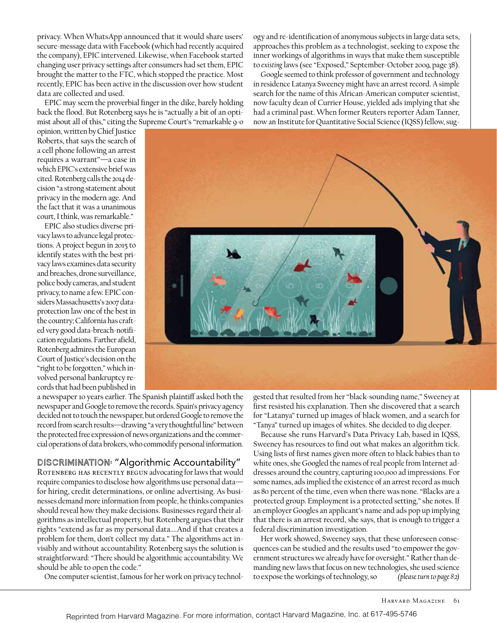privacy. When WhatsApp announced that it would share users' secure-message data with Facebook (which had recently acquired the company), EPIC intervened. Likewise, when Facebook started changing user privacy settings after consumers had set them, EPIC brought the matter to the FTC, which stopped the practice. Most recently, EPIC has been active in the discussion over how student data are collected and used.

EPIC may seem the proverbial finger in the dike, barely holding back the flood. But Rotenberg says he is "actually a bit of an optimist about all of this," citing the Supreme Court's "remarkable 9-0

opinion, written by Chief Justice Roberts, that says the search of a cell phone following an arrest requires a warrant"—a case in which EPIC's extensive brief was cited. Rotenberg calls the 2014 decision "a strong statement about privacy in the modern age. And the fact that it was a unanimous court, I think, was remarkable."

EPIC also studies diverse privacy laws to advance legal protections. A project begun in 2015 to identify states with the best privacy laws examines data security and breaches, drone surveillance, police body cameras, and student privacy, to name a few. EPIC considers Massachusetts's 2007 dataprotection law one of the best in the country; California has crafted very good data-breach-notification regulations. Farther afield, Rotenberg admires the European Court of Justice's decision on the "right to be forgotten," which involved personal bankruptcy records that had been published in

ogy and re-identification of anonymous subjects in large data sets, approaches this problem as a technologist, seeking to expose the inner workings of algorithms in ways that make them susceptible to *existing* laws (see "Exposed," September-October 2009, page 38).

Google seemed to think professor of government and technology in residence Latanya Sweeney might have an arrest record. A simple search for the name of this African-American computer scientist, now faculty dean of Currier House, yielded ads implying that she had a criminal past. When former Reuters reporter Adam Tanner, now an Institute for Quantitative Social Science (IQSS) fellow, sug-



a newspaper 10 years earlier. The Spanish plaintiff asked both the newspaper and Google to remove the records. Spain's privacy agency decided not to touch the newspaper, but ordered Google to remove the record from search results—drawing "a very thoughtful line" between the protected free expression of news organizations and the commercial operations of data brokers, who commodify personal information.

#### Discrimination: "Algorithmic Accountability"

ROTENBERG HAS RECENTLY BEGUN advocating for laws that would require companies to disclose how algorithms use personal data for hiring, credit determinations, or online advertising. As businesses demand more information from people, he thinks companies should reveal how they make decisions. Businesses regard their algorithms as intellectual property, but Rotenberg argues that their rights "extend as far as my personal data.…And if that creates a problem for them, don't collect my data." The algorithms act invisibly and without accountability. Rotenberg says the solution is straightforward: "There should be algorithmic accountability. We should be able to open the code."

One computer scientist, famous for her work on privacy technol-

gested that resulted from her "black-sounding name," Sweeney at first resisted his explanation. Then she discovered that a search for "Latanya" turned up images of black women, and a search for "Tanya" turned up images of whites. She decided to dig deeper.

Because she runs Harvard's Data Privacy Lab, based in IQSS, Sweeney has resources to find out what makes an algorithm tick. Using lists of first names given more often to black babies than to white ones, she Googled the names of real people from Internet addresses around the country, capturing 100,000 ad impressions. For some names, ads implied the existence of an arrest record as much as 80 percent of the time, even when there was none. "Blacks are a protected group. Employment is a protected setting," she notes. If an employer Googles an applicant's name and ads pop up implying that there is an arrest record, she says, that is enough to trigger a federal discrimination investigation.

Her work showed, Sweeney says, that these unforeseen consequences can be studied and the results used "to empower the government structures we already have for oversight." Rather than demanding new laws that focus on new technologies, she used science to expose the workings of technology, so *(please turn to page 82)*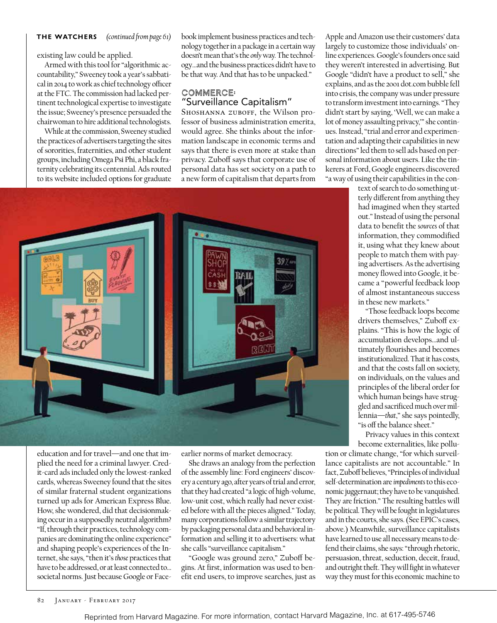#### **THE WATCHERS** *(continued from page 61)*

existing law could be applied.

Armed with this tool for "algorithmic accountability," Sweeney took a year's sabbatical in 2014 to work as chief technology officer at the FTC. The commission had lacked pertinent technological expertise to investigate the issue; Sweeney's presence persuaded the chairwoman to hire additional technologists.

While at the commission, Sweeney studied the practices of advertisers targeting the sites of sororities, fraternities, and other student groups, including Omega Psi Phi, a black fraternity celebrating its centennial. Ads routed to its website included options for graduate

book implement business practices and technology together in a package in a certain way doesn't mean that's the *only* way. The technology…and the business practices didn't have to be that way. And that has to be unpacked."

#### Commerce: "Surveillance Capitalism"

SHOSHANNA ZUBOFF, the Wilson professor of business administration emerita, would agree. She thinks about the information landscape in economic terms and says that there is even more at stake than privacy. Zuboff says that corporate use of personal data has set society on a path to a new form of capitalism that departs from Apple and Amazon use their customers' data largely to customize those individuals' online experiences. Google's founders once said they weren't interested in advertising. But Google "didn't have a product to sell," she explains, and as the 2001 dot.com bubble fell into crisis, the company was under pressure to transform investment into earnings. "They didn't start by saying, 'Well, we can make a lot of money assaulting privacy,'" she continues. Instead, "trial and error and experimentation and adapting their capabilities in new directions" led them to sell ads based on personal information about users. Like the tinkerers at Ford, Google engineers discovered "a way of using their capabilities in the con-

education and for travel—and one that implied the need for a criminal lawyer. Credit-card ads included only the lowest-ranked cards, whereas Sweeney found that the sites of similar fraternal student organizations turned up ads for American Express Blue. How, she wondered, did that decisionmaking occur in a supposedly neutral algorithm? "If, through their practices, technology companies are dominating the online experience" and shaping people's experiences of the Internet, she says, "then it's *those* practices that have to be addressed, or at least connected to… societal norms. Just because Google or Faceearlier norms of market democracy.

She draws an analogy from the perfection of the assembly line: Ford engineers' discovery a century ago, after years of trial and error, that they had created "a logic of high-volume, low-unit cost, which really had never existed before with all the pieces aligned." Today, many corporations follow a similar trajectory by packaging personal data and behavioral information and selling it to advertisers: what she calls "surveillance capitalism."

"Google was ground zero," Zuboff begins. At first, information was used to benefit end users, to improve searches, just as text of search to do something utterly different from anything they had imagined when they started out." Instead of using the personal data to benefit the *sources* of that information, they commodified it, using what they knew about people to match them with paying advertisers. As the advertising money flowed into Google, it became a "powerful feedback loop of almost instantaneous success in these new markets."

"Those feedback loops become drivers themselves," Zuboff explains. "This is how the logic of accumulation develops…and ultimately flourishes and becomes institutionalized. That it has costs, and that the costs fall on society, on individuals, on the values and principles of the liberal order for which human beings have struggled and sacrificed much over millennia—*that*," she says pointedly, "is off the balance sheet."

Privacy values in this context become externalities, like pollu-

tion or climate change, "for which surveillance capitalists are not accountable." In fact, Zuboff believes, "Principles of individual self-determination are *impediments* to this economic juggernaut; they have to be vanquished. They are friction." The resulting battles will be political. They will be fought in legislatures and in the courts, she says. (See EPIC's cases, above.) Meanwhile, surveillance capitalists have learned to use all necessary means to defend their claims, she says: "through rhetoric, persuasion, threat, seduction, deceit, fraud, and outright theft. They will fight in whatever way they must for this economic machine to